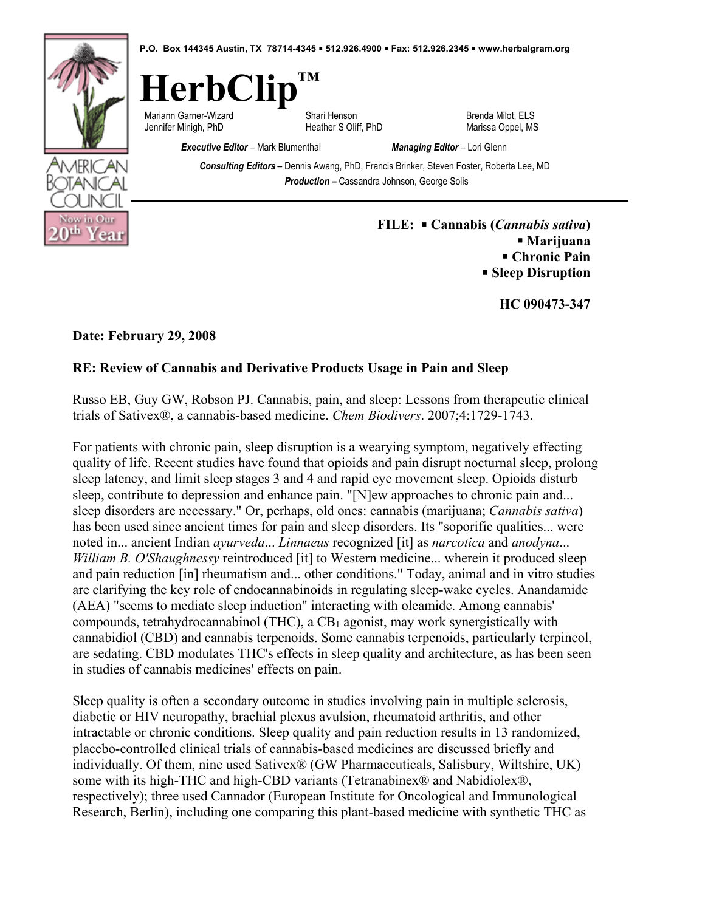

! **Sleep Disruption** 

**HC 090473-347** 

**Date: February 29, 2008** 

## **RE: Review of Cannabis and Derivative Products Usage in Pain and Sleep**

Russo EB, Guy GW, Robson PJ. Cannabis, pain, and sleep: Lessons from therapeutic clinical trials of Sativex®, a cannabis-based medicine. *Chem Biodivers*. 2007;4:1729-1743.

For patients with chronic pain, sleep disruption is a wearying symptom, negatively effecting quality of life. Recent studies have found that opioids and pain disrupt nocturnal sleep, prolong sleep latency, and limit sleep stages 3 and 4 and rapid eye movement sleep. Opioids disturb sleep, contribute to depression and enhance pain. "[N]ew approaches to chronic pain and... sleep disorders are necessary." Or, perhaps, old ones: cannabis (marijuana; *Cannabis sativa*) has been used since ancient times for pain and sleep disorders. Its "soporific qualities... were noted in... ancient Indian *ayurveda*... *Linnaeus* recognized [it] as *narcotica* and *anodyna*... *William B. O'Shaughnessy* reintroduced [it] to Western medicine... wherein it produced sleep and pain reduction [in] rheumatism and... other conditions." Today, animal and in vitro studies are clarifying the key role of endocannabinoids in regulating sleep-wake cycles. Anandamide (AEA) "seems to mediate sleep induction" interacting with oleamide. Among cannabis' compounds, tetrahydrocannabinol (THC), a  $CB_1$  agonist, may work synergistically with cannabidiol (CBD) and cannabis terpenoids. Some cannabis terpenoids, particularly terpineol, are sedating. CBD modulates THC's effects in sleep quality and architecture, as has been seen in studies of cannabis medicines' effects on pain.

Sleep quality is often a secondary outcome in studies involving pain in multiple sclerosis, diabetic or HIV neuropathy, brachial plexus avulsion, rheumatoid arthritis, and other intractable or chronic conditions. Sleep quality and pain reduction results in 13 randomized, placebo-controlled clinical trials of cannabis-based medicines are discussed briefly and individually. Of them, nine used Sativex® (GW Pharmaceuticals, Salisbury, Wiltshire, UK) some with its high-THC and high-CBD variants (Tetranabinex® and Nabidiolex®, respectively); three used Cannador (European Institute for Oncological and Immunological Research, Berlin), including one comparing this plant-based medicine with synthetic THC as